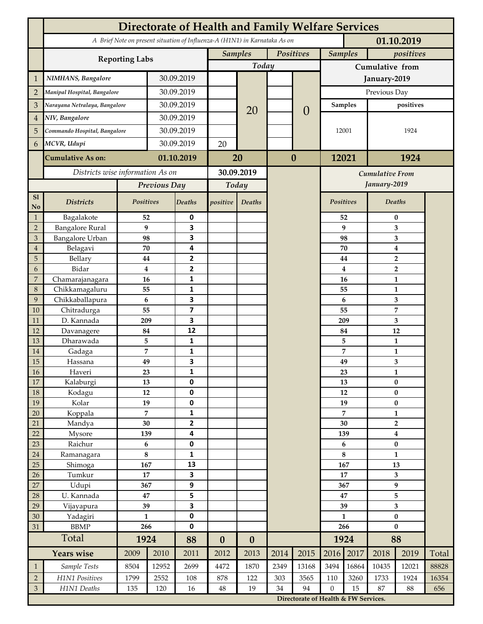|                 | <b>Directorate of Health and Family Welfare Services</b>                                 |                  |              |                         |                  |                  |           |                                      |                  |                                        |                           |                                  |       |  |
|-----------------|------------------------------------------------------------------------------------------|------------------|--------------|-------------------------|------------------|------------------|-----------|--------------------------------------|------------------|----------------------------------------|---------------------------|----------------------------------|-------|--|
|                 | A Brief Note on present situation of Influenza-A (H1N1) in Karnataka As on<br>01.10.2019 |                  |              |                         |                  |                  |           |                                      |                  |                                        |                           |                                  |       |  |
|                 | <b>Reporting Labs</b>                                                                    |                  |              |                         | <b>Samples</b>   |                  | Positives |                                      | <b>Samples</b>   |                                        | positives                 |                                  |       |  |
|                 |                                                                                          |                  |              |                         |                  | Today            |           |                                      | Cumulative from  |                                        |                           |                                  |       |  |
| $\mathbf{1}$    | NIMHANS, Bangalore                                                                       | 30.09.2019       |              |                         |                  |                  |           | January-2019                         |                  |                                        |                           |                                  |       |  |
| $\overline{2}$  | Manipal Hospital, Bangalore                                                              |                  |              | 30.09.2019              |                  |                  |           |                                      | Previous Day     |                                        |                           |                                  |       |  |
| 3               | Narayana Netralaya, Bangalore                                                            |                  |              | 30.09.2019              |                  |                  |           |                                      | Samples          |                                        | positives                 |                                  |       |  |
| $\overline{4}$  | NIV, Bangalore                                                                           |                  | 30.09.2019   |                         |                  | 20               |           | $\theta$                             |                  |                                        |                           |                                  |       |  |
| 5               | Commando Hospital, Bangalore                                                             |                  | 30.09.2019   |                         |                  |                  |           |                                      | 12001            |                                        | 1924                      |                                  |       |  |
| 6               | MCVR, Udupi                                                                              |                  | 30.09.2019   |                         | 20               |                  |           |                                      |                  |                                        |                           |                                  |       |  |
|                 | <b>Cumulative As on:</b>                                                                 |                  |              | 01.10.2019              |                  |                  | $\bf{0}$  |                                      | 12021            |                                        | 1924                      |                                  |       |  |
|                 |                                                                                          |                  |              | 20                      |                  |                  |           |                                      |                  |                                        |                           |                                  |       |  |
|                 | Districts wise information As on                                                         |                  |              | 30.09.2019              |                  |                  |           |                                      |                  | <b>Cumulative From</b><br>January-2019 |                           |                                  |       |  |
|                 |                                                                                          |                  | Previous Day |                         | Today            |                  |           |                                      |                  |                                        |                           |                                  |       |  |
| S1<br>No        | <b>Districts</b>                                                                         | Positives        |              | Deaths                  | positive         | Deaths           |           |                                      | Positives        |                                        |                           | Deaths                           |       |  |
| $\mathbf{1}$    | Bagalakote                                                                               | 52               |              | 0                       |                  |                  |           |                                      |                  | 52                                     | $\bf{0}$                  |                                  |       |  |
| $\overline{2}$  | <b>Bangalore Rural</b>                                                                   | $\boldsymbol{9}$ |              | 3                       |                  |                  |           |                                      |                  | 9                                      | 3                         |                                  |       |  |
| 3               | Bangalore Urban                                                                          | 98               |              | 3                       |                  |                  |           |                                      |                  | 98                                     | 3                         |                                  |       |  |
| $\overline{4}$  | Belagavi                                                                                 | 70               |              | 4                       |                  |                  |           |                                      |                  | 70                                     |                           | $\boldsymbol{4}$                 |       |  |
| 5<br>6          | Bellary<br>Bidar                                                                         | 44<br>$\bf{4}$   |              | 2<br>$\mathbf{2}$       |                  |                  |           |                                      |                  | 44<br>4                                |                           | $\overline{2}$<br>$\overline{2}$ |       |  |
| 7               | Chamarajanagara                                                                          | 16               |              | 1                       |                  |                  |           |                                      |                  | 16                                     |                           | 1                                |       |  |
| 8               | Chikkamagaluru                                                                           | 55               |              | 1                       |                  |                  |           |                                      |                  | 55                                     |                           | 1                                |       |  |
| 9               | Chikkaballapura                                                                          | 6                |              | 3                       |                  |                  |           |                                      |                  | 6                                      |                           | 3                                |       |  |
| 10              | Chitradurga                                                                              | 55               |              | $\overline{\mathbf{z}}$ |                  |                  |           |                                      |                  | 55                                     |                           | 7                                |       |  |
| 11              | D. Kannada                                                                               | 209              |              | 3                       |                  |                  |           |                                      |                  | 209                                    |                           | 3                                |       |  |
| 12              | Davanagere                                                                               | 84               |              | 12                      |                  |                  |           |                                      |                  | 84                                     |                           | 12                               |       |  |
| 13              | Dharawada                                                                                | 5                |              | $\mathbf{1}$            |                  |                  |           |                                      |                  | 5                                      |                           | $\mathbf{1}$                     |       |  |
| 14              | Gadaga                                                                                   | 7                |              | 1<br>3                  |                  |                  |           |                                      |                  | 7                                      |                           | 1                                |       |  |
| 15<br><b>16</b> | Hassana<br>Haveri                                                                        | 49<br>23         |              | 1                       |                  |                  |           |                                      |                  | 49<br>23                               |                           | 3<br>1                           |       |  |
| 17              | Kalaburgi                                                                                | 13               |              | 0                       |                  |                  |           |                                      |                  | 13                                     | $\pmb{0}$                 |                                  |       |  |
| 18              | Kodagu                                                                                   | 12               |              | $\pmb{0}$               |                  |                  |           |                                      |                  | 12                                     |                           | $\pmb{0}$                        |       |  |
| 19              | Kolar                                                                                    | 19               |              | 0                       |                  |                  |           |                                      |                  | 19                                     |                           | $\pmb{0}$                        |       |  |
| 20              | Koppala                                                                                  | $\overline{7}$   |              | 1                       |                  |                  |           |                                      | 7                |                                        | $\mathbf{1}$              |                                  |       |  |
| 21              | Mandya                                                                                   | $30\,$           |              | 2                       |                  |                  |           |                                      |                  | 30                                     |                           | $\mathbf{2}$                     |       |  |
| 22              | Mysore                                                                                   | 139              |              | 4                       |                  |                  |           |                                      | 139              |                                        | $\boldsymbol{4}$          |                                  |       |  |
| 23              | Raichur                                                                                  | $\bf 6$<br>8     |              | $\pmb{0}$               |                  |                  |           |                                      | 6<br>8           |                                        | $\pmb{0}$<br>$\mathbf{1}$ |                                  |       |  |
| $24\,$<br>25    | Ramanagara<br>Shimoga                                                                    | 167              |              | 1<br>13                 |                  |                  |           |                                      | 167              |                                        | 13                        |                                  |       |  |
| 26              | Tumkur                                                                                   | 17               |              | 3                       |                  |                  |           |                                      | 17               |                                        | 3                         |                                  |       |  |
| 27              | Udupi                                                                                    | 367              |              | 9                       |                  |                  |           |                                      |                  | 367                                    |                           | 9                                |       |  |
| 28              | U. Kannada                                                                               | $\bf 47$         |              | 5                       |                  |                  |           |                                      | 47               |                                        | 5                         |                                  |       |  |
| 29              | Vijayapura                                                                               | 39               |              | 3                       |                  |                  |           |                                      | 39               |                                        | $\overline{\mathbf{3}}$   |                                  |       |  |
| 30              | Yadagiri                                                                                 | $\mathbf{1}$     |              | 0                       |                  |                  |           |                                      | $\mathbf{1}$     |                                        | $\pmb{0}$                 |                                  |       |  |
| 31              | <b>BBMP</b>                                                                              | 266              |              | 0                       |                  |                  |           |                                      | 266              |                                        | $\bf{0}$                  |                                  |       |  |
|                 | Total                                                                                    | 1924             |              | 88                      | $\boldsymbol{0}$ | $\boldsymbol{0}$ |           |                                      |                  | 1924                                   | 88                        |                                  |       |  |
|                 | <b>Years wise</b>                                                                        | 2009             | 2010         | 2011                    | 2012             | 2013             | 2014      | 2015                                 | 2016             | 2017                                   | 2018                      | 2019                             | Total |  |
| $\mathbf{1}$    | Sample Tests                                                                             | 8504             | 12952        | 2699                    | 4472             | 1870             | 2349      | 13168                                | 3494             | 16864                                  | 10435                     | 12021                            | 88828 |  |
| $\overline{2}$  | H1N1 Positives                                                                           | 1799             | 2552         | 108                     | 878              | 122              | 303       | 3565                                 | 110              | 3260                                   | 1733                      | 1924                             | 16354 |  |
| $\mathfrak{Z}$  | H1N1 Deaths                                                                              | 135              | 120          | 16                      | $48\,$           | 19               | 34        | 94                                   | $\boldsymbol{0}$ | 15                                     | 87                        | 88                               | 656   |  |
|                 |                                                                                          |                  |              |                         |                  |                  |           | Directorate of Health & FW Services. |                  |                                        |                           |                                  |       |  |